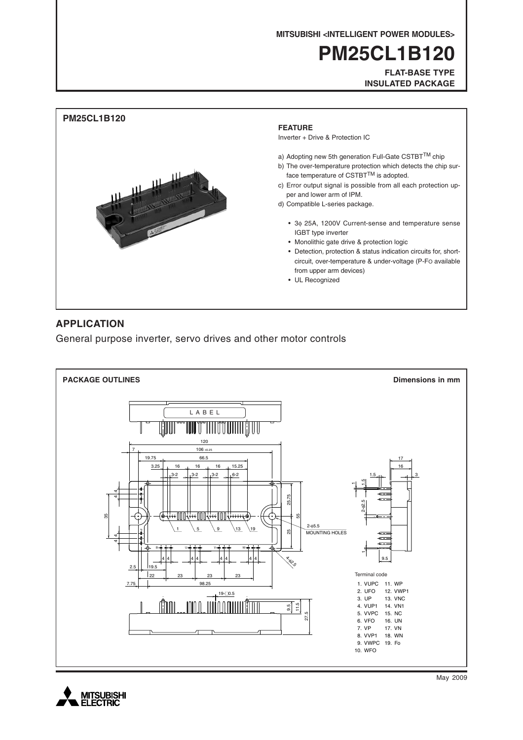**MITSUBISHI <INTELLIGENT POWER MODULES>**

# **PM25CL1B120**

**FLAT-BASE TYPE INSULATED PACKAGE**



### **APPLICATION**

General purpose inverter, servo drives and other motor controls





May 2009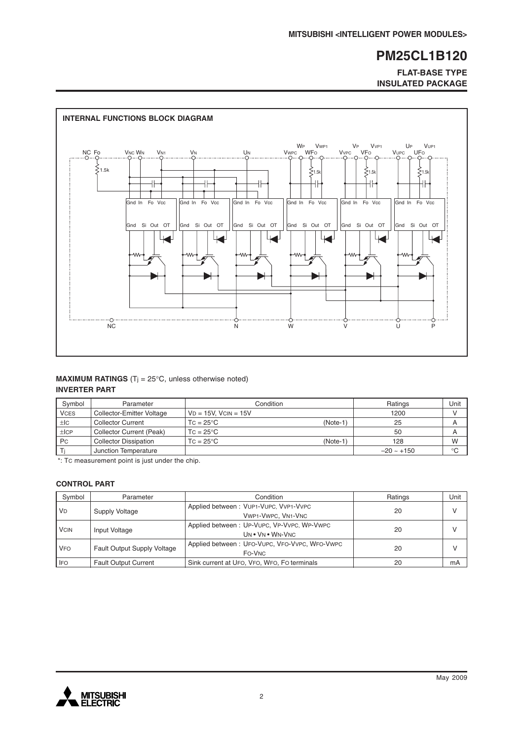#### **FLAT-BASE TYPE INSULATED PACKAGE**



#### **MAXIMUM RATINGS** (T<sub>j</sub> = 25°C, unless otherwise noted) **INVERTER PART**

| Symbol      | Parameter                    | Condition                      | Ratings         | Unit        |
|-------------|------------------------------|--------------------------------|-----------------|-------------|
| <b>VCES</b> | Collector-Emitter Voltage    | $VD = 15V$ . $VCIN = 15V$      | 1200            |             |
| $\pm$ IC    | <b>Collector Current</b>     | $TC = 25^{\circ}C$<br>(Note-1) | 25              | A           |
| ±ICP        | Collector Current (Peak)     | $TC = 25^{\circ}C$             | 50              | A           |
| Pc          | <b>Collector Dissipation</b> | $TC = 25^{\circ}C$<br>(Note-1  | 128             | W           |
|             | Junction Temperature         |                                | $-20 \sim +150$ | $^{\circ}C$ |

\*: TC measurement point is just under the chip.

#### **CONTROL PART**

| Symbol      | Parameter                          | Condition                                                      | Ratings | Unit          |
|-------------|------------------------------------|----------------------------------------------------------------|---------|---------------|
| <b>VD</b>   | Supply Voltage                     | Applied between: VUP1-VUPC, VVP1-VVPC<br>VWP1-VWPC, VN1-VNC    | 20      | $\mathcal{U}$ |
| <b>VCIN</b> | Input Voltage                      | Applied between: UP-VUPC, VP-VVPC, WP-VWPC<br>UN . VN . WN-VNC | 20      | $\mathsf{V}$  |
| <b>VFO</b>  | <b>Fault Output Supply Voltage</b> | Applied between: UFO-VUPC, VFO-VVPC, WFO-VWPC<br>FO-VNC        | 20      |               |
| <b>IFO</b>  | <b>Fault Output Current</b>        | Sink current at UFO, VFO, WFO, FO terminals                    | 20      | mA            |

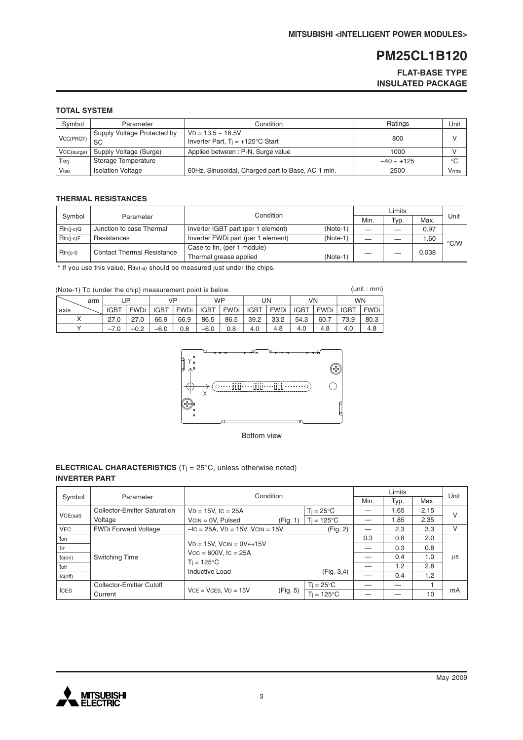#### **FLAT-BASE TYPE INSULATED PACKAGE**

#### **TOTAL SYSTEM**

| Symbol     | Parameter                         | Condition                                                        | Ratings         | Unit |
|------------|-----------------------------------|------------------------------------------------------------------|-----------------|------|
| VCC(PROT)  | Supply Voltage Protected by<br>SC | $VD = 13.5 - 16.5V$<br>Inverter Part, $Ti = +125^{\circ}C$ Start | 800             |      |
| VCC(surge) | Supply Voltage (Surge)            | Applied between: P-N, Surge value                                | 1000            |      |
| Tstg       | Storage Temperature               |                                                                  | $-40 \sim +125$ | °C   |
| Viso       | <b>Isolation Voltage</b>          | 60Hz, Sinusoidal, Charged part to Base, AC 1 min.                | 2500            | Vmms |

#### **THERMAL RESISTANCES**

|                     |                                   | Condition                          |            |      |      |       |                    |
|---------------------|-----------------------------------|------------------------------------|------------|------|------|-------|--------------------|
| Symbol<br>Parameter |                                   |                                    |            | Min. | Typ. | Max.  | Unit               |
| $Rth(i-c)Q$         | Junction to case Thermal          | Inverter IGBT part (per 1 element) | $(Note-1)$ |      |      | 0.97  |                    |
| $Rth(i-c)F$         | Resistances                       | Inverter FWDi part (per 1 element) | $(Note-1)$ |      |      | 1.60  | $\rm ^{\circ}$ C/W |
| $Rth(c-f)$          | <b>Contact Thermal Resistance</b> | Case to fin, (per 1 module)        |            |      |      |       |                    |
|                     |                                   | Thermal grease applied             | $(Note-1)$ |      |      | 0.038 |                    |

\* If you use this value, Rth(f-a) should be measured just under the chips.

| (unit : mm)<br>(Note-1) Tc (under the chip) measurement point is below. |     |             |      |             |             |             |           |             |             |             |             |             |             |
|-------------------------------------------------------------------------|-----|-------------|------|-------------|-------------|-------------|-----------|-------------|-------------|-------------|-------------|-------------|-------------|
|                                                                         | arm |             | UP   | VP          |             |             | <b>WP</b> | UN          |             |             | VN          | <b>WN</b>   |             |
| axis                                                                    |     | <b>IGBT</b> | FWDi | <b>IGBT</b> | <b>FWDi</b> | <b>IGBT</b> | FWDi      | <b>IGBT</b> | <b>FWDi</b> | <b>IGBT</b> | <b>FWDi</b> | <b>IGBT</b> | <b>FWDi</b> |
|                                                                         |     | 27.0        | 27.0 | 66.9        | 66.9        | 86.5        | 86.5      | 39.2        | 33.2        | 54.3        | 60.7        | 73.9        | 80.3        |
|                                                                         |     | $-7.0$      |      | $-6.0$      | 0.8         | $-6.0$      | 0.8       | 4.0         | 4.8         | 4.0         | 4.8         | 4.0         | 4.8         |



Bottom view

#### **ELECTRICAL CHARACTERISTICS** (Tj = 25°C, unless otherwise noted) **INVERTER PART**

|              |                                     | Condition                                    |                                         |                     |     | Unit |      |    |
|--------------|-------------------------------------|----------------------------------------------|-----------------------------------------|---------------------|-----|------|------|----|
| Symbol       | Parameter                           |                                              |                                         |                     |     | Typ. | Max. |    |
|              | <b>Collector-Emitter Saturation</b> | $VD = 15V$ , $IC = 25A$                      |                                         | $Ti = 25^{\circ}C$  |     | 1.65 | 2.15 |    |
| VCE(sat)     | Voltage                             | $VCN = OV, Pulsed$                           | (Fig. 1)                                | $Ti = 125^{\circ}C$ |     | 1.85 | 2.35 | V  |
| <b>VEC</b>   | <b>FWDi Forward Voltage</b>         |                                              | $-IC = 25A$ , $VD = 15V$ , $VCIN = 15V$ |                     |     | 2.3  | 3.3  | v  |
| ton          |                                     |                                              |                                         |                     | 0.3 | 0.8  | 2.0  |    |
| trr          |                                     | $VD = 15V$ , $VCIN = OV \leftrightarrow 15V$ |                                         |                     |     | 0.3  | 0.8  |    |
| $tc($ on $)$ | Switching Time                      | $Vcc = 600V$ , $lc = 25A$                    |                                         |                     |     | 0.4  | 1.0  | us |
| toff         |                                     | $T_i = 125^{\circ}C$                         |                                         |                     |     | 1.2  | 2.8  |    |
| tc(off)      |                                     | Inductive Load                               |                                         | (Fig. 3, 4)         |     | 0.4  | 1.2  |    |
| <b>ICES</b>  | Collector-Emitter Cutoff            |                                              |                                         | $T_i = 25^{\circ}C$ |     |      |      |    |
|              | Current                             | $VCE = VCES, VD = 15V$                       | (Fig. 5)                                | $Ti = 125^{\circ}C$ |     |      | 10   | mA |

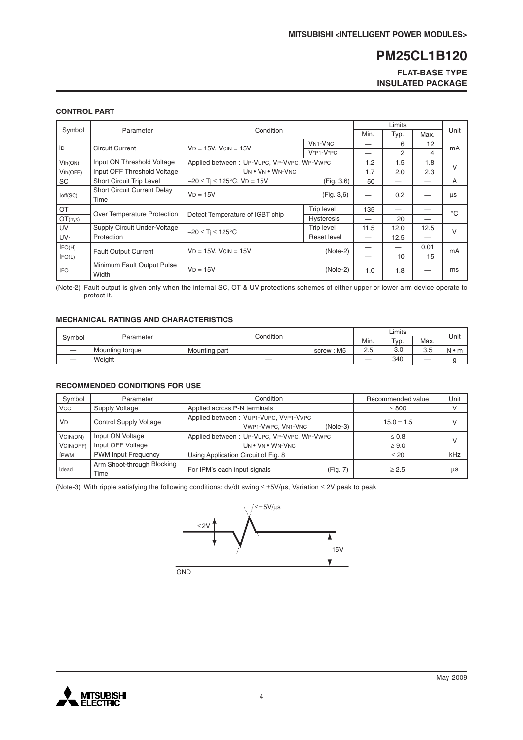#### **FLAT-BASE TYPE INSULATED PACKAGE**

#### **CONTROL PART**

|                       |                                            | Condition                                  |                                      |      |      |      |              |
|-----------------------|--------------------------------------------|--------------------------------------------|--------------------------------------|------|------|------|--------------|
| Symbol                | Parameter                                  |                                            |                                      | Min. | Typ. | Max. | Unit         |
| ID                    | <b>Circuit Current</b>                     | $VD = 15V$ , $VCIN = 15V$                  | <b>VN<sub>1</sub>-V<sub>NC</sub></b> |      | 6    | 12   |              |
|                       |                                            |                                            | $V^*P1-V^*PC$                        |      | 2    | 4    | mA           |
| Vth(ON)               | Input ON Threshold Voltage                 | Applied between: UP-VUPC, VP-VVPC, WP-VWPC |                                      | 1.2  | 1.5  | 1.8  | $\vee$       |
| Vth(OFF)              | Input OFF Threshold Voltage                | UN . VN . WN-VNC                           |                                      | 1.7  | 2.0  | 2.3  |              |
| SC                    | Short Circuit Trip Level                   | $-20 \le T_i \le 125^{\circ}$ C, VD = 15V  | (Fig. 3, 6)                          | 50   |      |      | A            |
| toff(SC)              | <b>Short Circuit Current Delay</b><br>Time | $VD = 15V$                                 | (Fig. 3, 6)                          |      | 0.2  |      | μs           |
| OT                    | Over Temperature Protection                | Detect Temperature of IGBT chip            | Trip level                           | 135  |      |      | $^{\circ}$ C |
| OT(hys)               |                                            |                                            | <b>Hysteresis</b>                    |      | 20   |      |              |
| UV                    | Supply Circuit Under-Voltage               | $-20 \leq T_i \leq 125^{\circ}C$           | <b>Trip level</b>                    | 11.5 | 12.0 | 12.5 | $\vee$       |
| <b>UV<sub>r</sub></b> | Protection                                 |                                            | Reset level                          |      | 12.5 |      |              |
| IFO(H)                | <b>Fault Output Current</b>                | $VD = 15V$ , $VCIN = 15V$                  | $(Note-2)$                           |      |      | 0.01 | mA           |
| IFO(L)                |                                            |                                            |                                      |      | 10   | 15   |              |
| tFO                   | Minimum Fault Output Pulse<br>Width        | $VD = 15V$                                 | $(Note-2)$                           | 1.0  | 1.8  |      | ms           |

(Note-2) Fault output is given only when the internal SC, OT & UV protections schemes of either upper or lower arm device operate to protect it.

#### **MECHANICAL RATINGS AND CHARACTERISTICS**

|        |                 |                            |          | Limits |                      |                          |  |
|--------|-----------------|----------------------------|----------|--------|----------------------|--------------------------|--|
| Symbol | Parameter       | Condition                  |          | Typ.   | Max.                 | Unit                     |  |
|        | Mounting torque | screw: M5<br>Mounting part | C<br>ں ۔ | 3.U    | $\sim$ $\sim$<br>3.5 | m<br>N                   |  |
|        | Weight          |                            |          | 340    | ___                  | $\overline{\phantom{0}}$ |  |

#### **RECOMMENDED CONDITIONS FOR USE**

| Symbol               | Parameter                          | Condition                                                                 | Recommended value | Unit         |
|----------------------|------------------------------------|---------------------------------------------------------------------------|-------------------|--------------|
| <b>VCC</b>           | Supply Voltage                     | Applied across P-N terminals                                              | $\leq 800$        | V            |
| <b>V<sub>D</sub></b> | <b>Control Supply Voltage</b>      | Applied between: VUP1-VUPC, VVP1-VVPC<br>VWP1-VWPC, VN1-VNC<br>$(Note-3)$ | $15.0 \pm 1.5$    | $\mathsf{V}$ |
| VCIN(ON)             | Input ON Voltage                   | Applied between: UP-VUPC, VP-VVPC, WP-VWPC                                | $\leq 0.8$        | v            |
| VCIN(OFF)            | Input OFF Voltage                  | UN . VN . WN-VNC                                                          | $\geq 9.0$        |              |
| fPWM                 | <b>PWM Input Frequency</b>         | Using Application Circuit of Fig. 8                                       | $\leq 20$         | kHz          |
| tdead                | Arm Shoot-through Blocking<br>Time | For IPM's each input signals<br>(Fig. 7)                                  | > 2.5             | μs           |

(Note-3) With ripple satisfying the following conditions: dv/dt swing ≤ ±5V/µs, Variation ≤ 2V peak to peak



GND

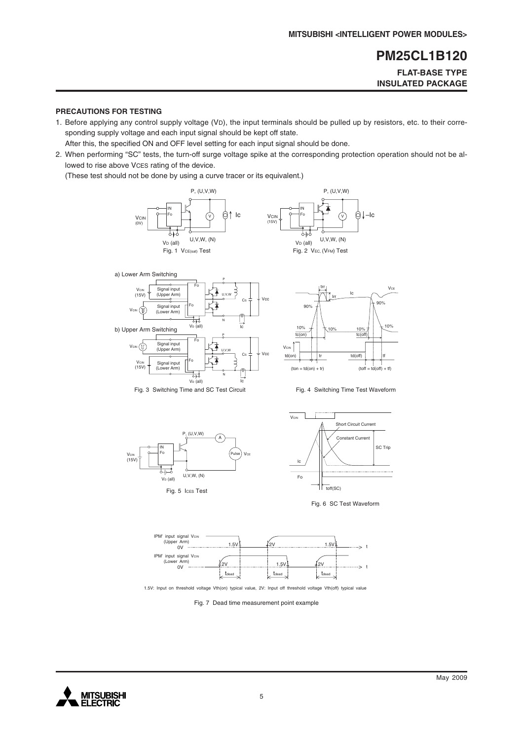#### **FLAT-BASE TYPE INSULATED PACKAGE**

#### **PRECAUTIONS FOR TESTING**

1. Before applying any control supply voltage (VD), the input terminals should be pulled up by resistors, etc. to their corresponding supply voltage and each input signal should be kept off state.

After this, the specified ON and OFF level setting for each input signal should be done.

2. When performing "SC" tests, the turn-off surge voltage spike at the corresponding protection operation should not be allowed to rise above VCES rating of the device.

(These test should not be done by using a curve tracer or its equivalent.)















1.5V: Input on threshold voltage Vth(on) typical value, 2V: Input off threshold voltage Vth(off) typical value

Fig. 7 Dead time measurement point example

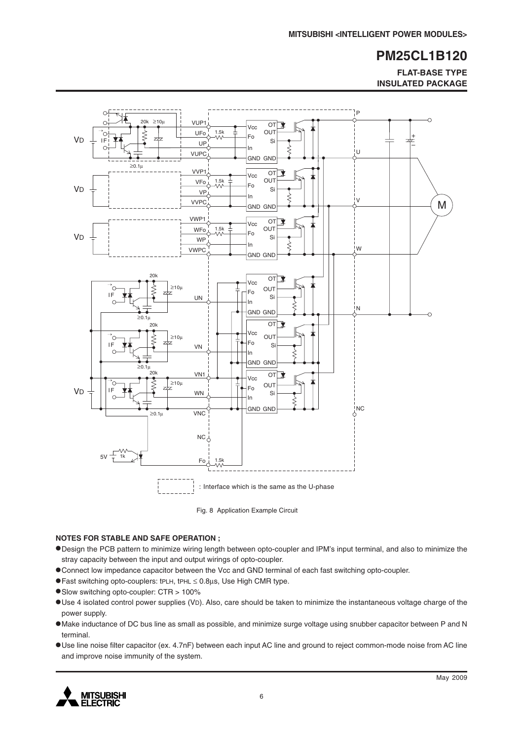**FLAT-BASE TYPE INSULATED PACKAGE**



Fig. 8 Application Example Circuit

#### **NOTES FOR STABLE AND SAFE OPERATION ;**

- •Design the PCB pattern to minimize wiring length between opto-coupler and IPM's input terminal, and also to minimize the stray capacity between the input and output wirings of opto-coupler.
- •Connect low impedance capacitor between the Vcc and GND terminal of each fast switching opto-coupler.
- •Fast switching opto-couplers: tPLH, tPHL <sup>≤</sup> 0.8µs, Use High CMR type.
- •Slow switching opto-coupler: CTR > 100%
- •Use 4 isolated control power supplies (VD). Also, care should be taken to minimize the instantaneous voltage charge of the power supply.
- •Make inductance of DC bus line as small as possible, and minimize surge voltage using snubber capacitor between P and N terminal.
- •Use line noise filter capacitor (ex. 4.7nF) between each input AC line and ground to reject common-mode noise from AC line and improve noise immunity of the system.

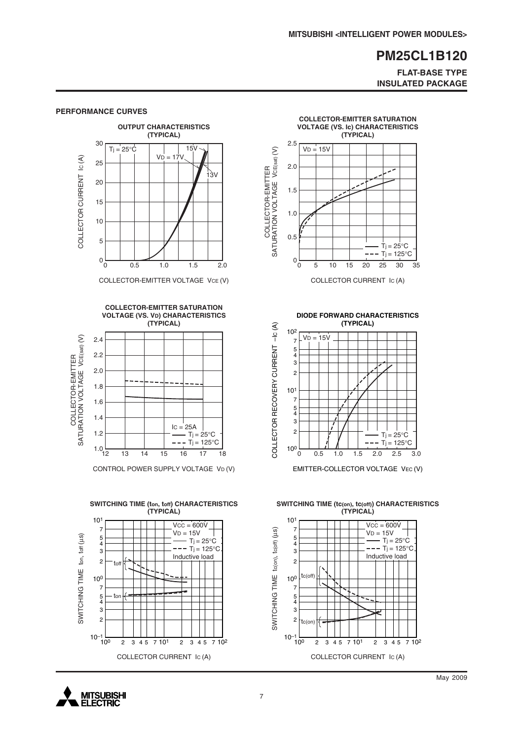#### **FLAT-BASE TYPE INSULATED PACKAGE**



**PERFORMANCE CURVES**

COLLECTOR-EMITTER VOLTAGE VCE (V)



CONTROL POWER SUPPLY VOLTAGE VD (V)





COLLECTOR CURRENT IC (A)

**DIODE FORWARD CHARACTERISTICS**



EMITTER-COLLECTOR VOLTAGE VEC (V)

**SWITCHING TIME (tc(on), tc(off)) CHARACTERISTICS (TYPICAL)**

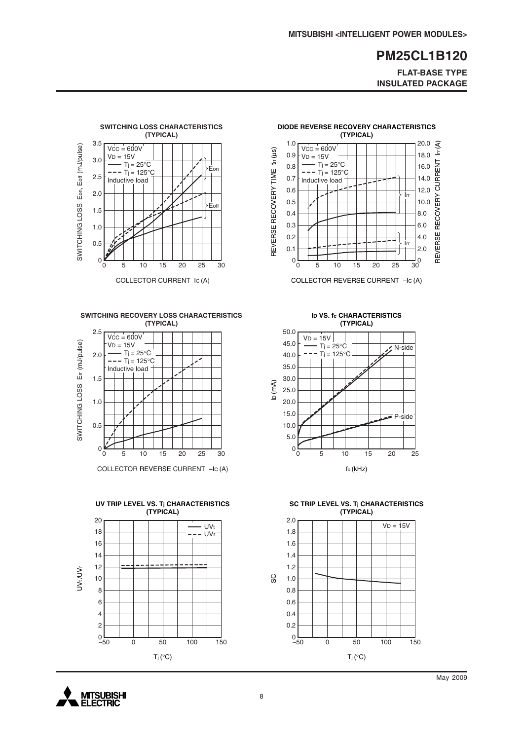**FLAT-BASE TYPE INSULATED PACKAGE**



**SWITCHING RECOVERY LOSS CHARACTERISTICS (TYPICAL)**



COLLECTOR REVERSE CURRENT –IC (A)





**DIODE REVERSE RECOVERY CHARACTERISTICS (TYPICAL)**

1.0

0 5 10 15 20 25 30 COLLECTOR REVERSE CURRENT –IC (A)

**ID VS. fc CHARACTERISTICS (TYPICAL)**



**SC TRIP LEVEL VS. Tj CHARACTERISTICS (TYPICAL)**